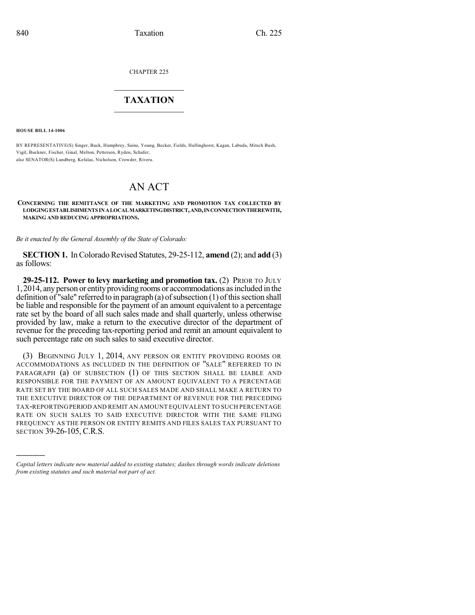CHAPTER 225

## $\mathcal{L}_\text{max}$  . The set of the set of the set of the set of the set of the set of the set of the set of the set of the set of the set of the set of the set of the set of the set of the set of the set of the set of the set **TAXATION**  $\_$

**HOUSE BILL 14-1006**

)))))

BY REPRESENTATIVE(S) Singer, Buck, Humphrey, Saine, Young, Becker, Fields, Hullinghorst, Kagan, Labuda, Mitsch Bush, Vigil, Buckner, Fischer, Ginal, Melton, Pettersen, Ryden, Schafer; also SENATOR(S) Lundberg, Kefalas, Nicholson, Crowder, Rivera.

## AN ACT

**CONCERNING THE REMITTANCE OF THE MARKETING AND PROMOTION TAX COLLECTED BY LODGINGESTABLISHMENTS INALOCALMARKETINGDISTRICT,AND,INCONNECTIONTHEREWITH, MAKING AND REDUCING APPROPRIATIONS.**

*Be it enacted by the General Assembly of the State of Colorado:*

**SECTION 1.** In Colorado Revised Statutes, 29-25-112, **amend** (2); and **add** (3) as follows:

**29-25-112. Power to levy marketing and promotion tax.** (2) PRIOR TO JULY 1,2014, anyperson or entityproviding rooms or accommodations asincluded in the definition of "sale" referred to in paragraph (a) of subsection  $(1)$  of this section shall be liable and responsible for the payment of an amount equivalent to a percentage rate set by the board of all such sales made and shall quarterly, unless otherwise provided by law, make a return to the executive director of the department of revenue for the preceding tax-reporting period and remit an amount equivalent to such percentage rate on such sales to said executive director.

(3) BEGINNING JULY 1, 2014, ANY PERSON OR ENTITY PROVIDING ROOMS OR ACCOMMODATIONS AS INCLUDED IN THE DEFINITION OF "SALE" REFERRED TO IN PARAGRAPH (a) OF SUBSECTION (1) OF THIS SECTION SHALL BE LIABLE AND RESPONSIBLE FOR THE PAYMENT OF AN AMOUNT EQUIVALENT TO A PERCENTAGE RATE SET BY THE BOARD OF ALL SUCH SALES MADE AND SHALL MAKE A RETURN TO THE EXECUTIVE DIRECTOR OF THE DEPARTMENT OF REVENUE FOR THE PRECEDING TAX-REPORTINGPERIOD AND REMIT AN AMOUNT EQUIVALENT TO SUCH PERCENTAGE RATE ON SUCH SALES TO SAID EXECUTIVE DIRECTOR WITH THE SAME FILING FREQUENCY AS THE PERSON OR ENTITY REMITS AND FILES SALES TAX PURSUANT TO SECTION 39-26-105, C.R.S.

*Capital letters indicate new material added to existing statutes; dashes through words indicate deletions from existing statutes and such material not part of act.*